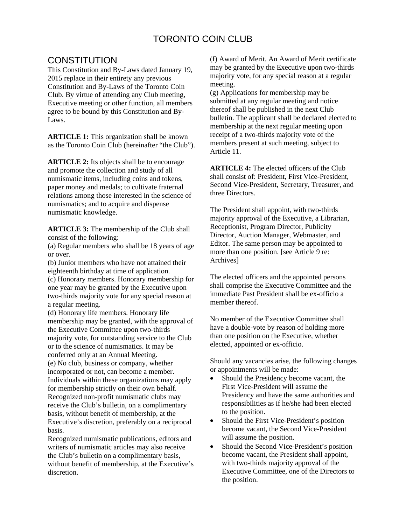## TORONTO COIN CLUB

## **CONSTITUTION**

This Constitution and By-Laws dated January 19, 2015 replace in their entirety any previous Constitution and By-Laws of the Toronto Coin Club. By virtue of attending any Club meeting, Executive meeting or other function, all members agree to be bound by this Constitution and By-Laws.

**ARTICLE 1:** This organization shall be known as the Toronto Coin Club (hereinafter "the Club").

**ARTICLE 2:** Its objects shall be to encourage and promote the collection and study of all numismatic items, including coins and tokens, paper money and medals; to cultivate fraternal relations among those interested in the science of numismatics; and to acquire and dispense numismatic knowledge.

**ARTICLE 3:** The membership of the Club shall consist of the following:

(a) Regular members who shall be 18 years of age or over.

(b) Junior members who have not attained their eighteenth birthday at time of application. (c) Honorary members. Honorary membership for one year may be granted by the Executive upon two-thirds majority vote for any special reason at a regular meeting.

(d) Honorary life members. Honorary life membership may be granted, with the approval of the Executive Committee upon two-thirds majority vote, for outstanding service to the Club or to the science of numismatics. It may be conferred only at an Annual Meeting. (e) No club, business or company, whether incorporated or not, can become a member. Individuals within these organizations may apply for membership strictly on their own behalf. Recognized non-profit numismatic clubs may receive the Club's bulletin, on a complimentary basis, without benefit of membership, at the Executive's discretion, preferably on a reciprocal basis.

Recognized numismatic publications, editors and writers of numismatic articles may also receive the Club's bulletin on a complimentary basis, without benefit of membership, at the Executive's discretion.

(f) Award of Merit. An Award of Merit certificate may be granted by the Executive upon two-thirds majority vote, for any special reason at a regular meeting.

(g) Applications for membership may be submitted at any regular meeting and notice thereof shall be published in the next Club bulletin. The applicant shall be declared elected to membership at the next regular meeting upon receipt of a two-thirds majority vote of the members present at such meeting, subject to Article 11.

**ARTICLE 4:** The elected officers of the Club shall consist of: President, First Vice-President, Second Vice-President, Secretary, Treasurer, and three Directors.

The President shall appoint, with two-thirds majority approval of the Executive, a Librarian, Receptionist, Program Director, Publicity Director, Auction Manager, Webmaster, and Editor. The same person may be appointed to more than one position. [see Article 9 re: Archives]

The elected officers and the appointed persons shall comprise the Executive Committee and the immediate Past President shall be ex-officio a member thereof.

No member of the Executive Committee shall have a double-vote by reason of holding more than one position on the Executive, whether elected, appointed or ex-officio.

Should any vacancies arise, the following changes or appointments will be made:

- Should the Presidency become vacant, the First Vice-President will assume the Presidency and have the same authorities and responsibilities as if he/she had been elected to the position.
- Should the First Vice-President's position become vacant, the Second Vice-President will assume the position.
- Should the Second Vice-President's position become vacant, the President shall appoint, with two-thirds majority approval of the Executive Committee, one of the Directors to the position.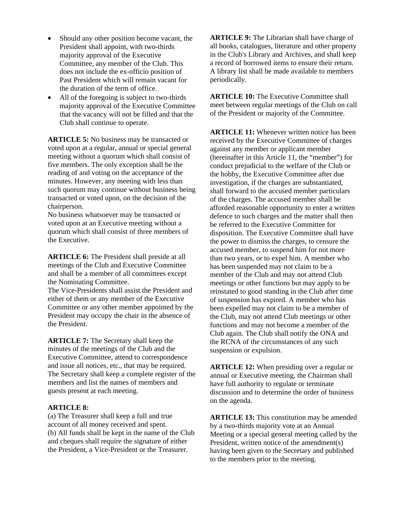- Should any other position become vacant, the President shall appoint, with two-thirds majority approval of the Executive Committee, any member of the Club. This does not include the ex-officio position of Past President which will remain vacant for the duration of the term of office.
- All of the foregoing is subject to two-thirds majority approval of the Executive Committee that the vacancy will not be filled and that the Club shall continue to operate.

**ARTICLE 5:** No business may be transacted or voted upon at a regular, annual or special general meeting without a quorum which shall consist of five members. The only exception shall be the reading of and voting on the acceptance of the minutes. However, any meeting with less than such quorum may continue without business being transacted or voted upon, on the decision of the chairperson.

No business whatsoever may be transacted or voted upon at an Executive meeting without a quorum which shall consist of three members of the Executive.

**ARTICLE 6:** The President shall preside at all meetings of the Club and Executive Committee and shall be a member of all committees except the Nominating Committee.

The Vice-Presidents shall assist the President and either of them or any member of the Executive Committee or any other member appointed by the President may occupy the chair in the absence of the President.

**ARTICLE 7:** The Secretary shall keep the minutes of the meetings of the Club and the Executive Committee, attend to correspondence and issue all notices, etc., that may be required. The Secretary shall keep a complete register of the members and list the names of members and guests present at each meeting.

## **ARTICLE 8:**

(a) The Treasurer shall keep a full and true account of all money received and spent. (b) All funds shall be kept in the name of the Club and cheques shall require the signature of either the President, a Vice-President or the Treasurer.

**ARTICLE 9:** The Librarian shall have charge of all books, catalogues, literature and other property in the Club's Library and Archives, and shall keep a record of borrowed items to ensure their return. A library list shall be made available to members periodically.

**ARTICLE 10:** The Executive Committee shall meet between regular meetings of the Club on call of the President or majority of the Committee.

**ARTICLE 11:** Whenever written notice has been received by the Executive Committee of charges against any member or applicant member (hereinafter in this Article 11, the "member") for conduct prejudicial to the welfare of the Club or the hobby, the Executive Committee after due investigation, if the charges are substantiated, shall forward to the accused member particulars of the charges. The accused member shall be afforded reasonable opportunity to enter a written defence to such charges and the matter shall then be referred to the Executive Committee for disposition. The Executive Committee shall have the power to dismiss the charges, to censure the accused member, to suspend him for not more than two years, or to expel him. A member who has been suspended may not claim to be a member of the Club and may not attend Club meetings or other functions but may apply to be reinstated to good standing in the Club after time of suspension has expired. A member who has been expelled may not claim to be a member of the Club, may not attend Club meetings or other functions and may not become a member of the Club again. The Club shall notify the ONA and the RCNA of the circumstances of any such suspension or expulsion.

**ARTICLE 12:** When presiding over a regular or annual or Executive meeting, the Chairman shall have full authority to regulate or terminate discussion and to determine the order of business on the agenda.

**ARTICLE 13:** This constitution may be amended by a two-thirds majority vote at an Annual Meeting or a special general meeting called by the President, written notice of the amendment(s) having been given to the Secretary and published to the members prior to the meeting.